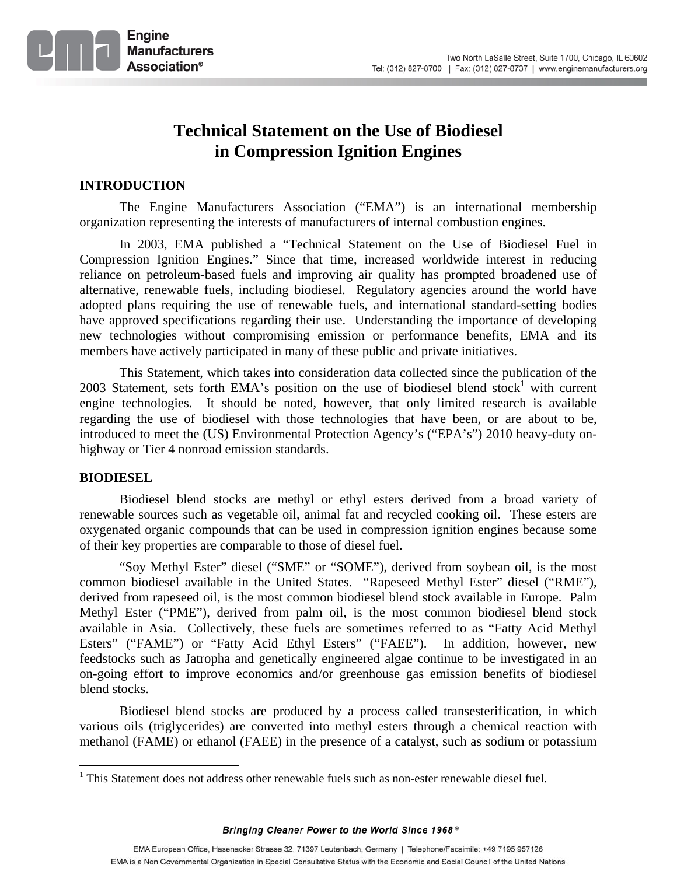

# **Technical Statement on the Use of Biodiesel in Compression Ignition Engines**

# **INTRODUCTION**

The Engine Manufacturers Association ("EMA") is an international membership organization representing the interests of manufacturers of internal combustion engines.

In 2003, EMA published a "Technical Statement on the Use of Biodiesel Fuel in Compression Ignition Engines." Since that time, increased worldwide interest in reducing reliance on petroleum-based fuels and improving air quality has prompted broadened use of alternative, renewable fuels, including biodiesel. Regulatory agencies around the world have adopted plans requiring the use of renewable fuels, and international standard-setting bodies have approved specifications regarding their use. Understanding the importance of developing new technologies without compromising emission or performance benefits, EMA and its members have actively participated in many of these public and private initiatives.

This Statement, which takes into consideration data collected since the publication of the 2003 Statement, sets forth EMA's position on the use of biodiesel blend stock<sup>1</sup> with current engine technologies. It should be noted, however, that only limited research is available regarding the use of biodiesel with those technologies that have been, or are about to be, introduced to meet the (US) Environmental Protection Agency's ("EPA's") 2010 heavy-duty onhighway or Tier 4 nonroad emission standards.

## **BIODIESEL**

 $\overline{a}$ 

Biodiesel blend stocks are methyl or ethyl esters derived from a broad variety of renewable sources such as vegetable oil, animal fat and recycled cooking oil. These esters are oxygenated organic compounds that can be used in compression ignition engines because some of their key properties are comparable to those of diesel fuel.

"Soy Methyl Ester" diesel ("SME" or "SOME"), derived from soybean oil, is the most common biodiesel available in the United States. "Rapeseed Methyl Ester" diesel ("RME"), derived from rapeseed oil, is the most common biodiesel blend stock available in Europe. Palm Methyl Ester ("PME"), derived from palm oil, is the most common biodiesel blend stock available in Asia. Collectively, these fuels are sometimes referred to as "Fatty Acid Methyl Esters" ("FAME") or "Fatty Acid Ethyl Esters" ("FAEE"). In addition, however, new feedstocks such as Jatropha and genetically engineered algae continue to be investigated in an on-going effort to improve economics and/or greenhouse gas emission benefits of biodiesel blend stocks.

Biodiesel blend stocks are produced by a process called transesterification, in which various oils (triglycerides) are converted into methyl esters through a chemical reaction with methanol (FAME) or ethanol (FAEE) in the presence of a catalyst, such as sodium or potassium

<sup>&</sup>lt;sup>1</sup> This Statement does not address other renewable fuels such as non-ester renewable diesel fuel.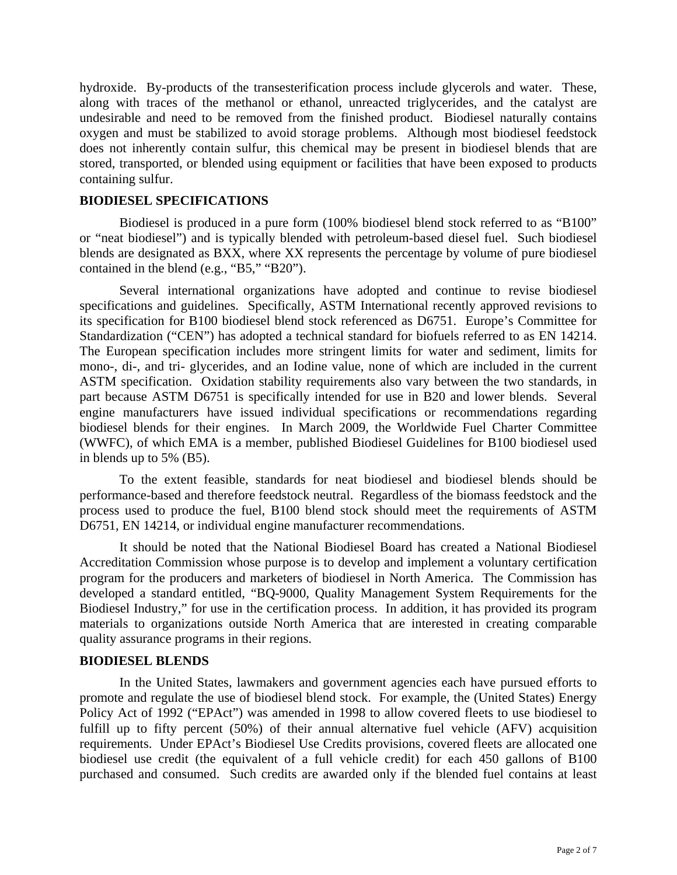hydroxide. By-products of the transesterification process include glycerols and water. These, along with traces of the methanol or ethanol, unreacted triglycerides, and the catalyst are undesirable and need to be removed from the finished product. Biodiesel naturally contains oxygen and must be stabilized to avoid storage problems. Although most biodiesel feedstock does not inherently contain sulfur, this chemical may be present in biodiesel blends that are stored, transported, or blended using equipment or facilities that have been exposed to products containing sulfur.

#### **BIODIESEL SPECIFICATIONS**

Biodiesel is produced in a pure form (100% biodiesel blend stock referred to as "B100" or "neat biodiesel") and is typically blended with petroleum-based diesel fuel. Such biodiesel blends are designated as BXX, where XX represents the percentage by volume of pure biodiesel contained in the blend (e.g., "B5," "B20").

Several international organizations have adopted and continue to revise biodiesel specifications and guidelines. Specifically, ASTM International recently approved revisions to its specification for B100 biodiesel blend stock referenced as D6751. Europe's Committee for Standardization ("CEN") has adopted a technical standard for biofuels referred to as EN 14214. The European specification includes more stringent limits for water and sediment, limits for mono-, di-, and tri- glycerides, and an Iodine value, none of which are included in the current ASTM specification. Oxidation stability requirements also vary between the two standards, in part because ASTM D6751 is specifically intended for use in B20 and lower blends. Several engine manufacturers have issued individual specifications or recommendations regarding biodiesel blends for their engines. In March 2009, the Worldwide Fuel Charter Committee (WWFC), of which EMA is a member, published Biodiesel Guidelines for B100 biodiesel used in blends up to 5% (B5).

To the extent feasible, standards for neat biodiesel and biodiesel blends should be performance-based and therefore feedstock neutral. Regardless of the biomass feedstock and the process used to produce the fuel, B100 blend stock should meet the requirements of ASTM D6751, EN 14214, or individual engine manufacturer recommendations.

It should be noted that the National Biodiesel Board has created a National Biodiesel Accreditation Commission whose purpose is to develop and implement a voluntary certification program for the producers and marketers of biodiesel in North America. The Commission has developed a standard entitled, "BQ-9000, Quality Management System Requirements for the Biodiesel Industry," for use in the certification process. In addition, it has provided its program materials to organizations outside North America that are interested in creating comparable quality assurance programs in their regions.

#### **BIODIESEL BLENDS**

In the United States, lawmakers and government agencies each have pursued efforts to promote and regulate the use of biodiesel blend stock. For example, the (United States) Energy Policy Act of 1992 ("EPAct") was amended in 1998 to allow covered fleets to use biodiesel to fulfill up to fifty percent (50%) of their annual alternative fuel vehicle (AFV) acquisition requirements. Under EPAct's Biodiesel Use Credits provisions, covered fleets are allocated one biodiesel use credit (the equivalent of a full vehicle credit) for each 450 gallons of B100 purchased and consumed. Such credits are awarded only if the blended fuel contains at least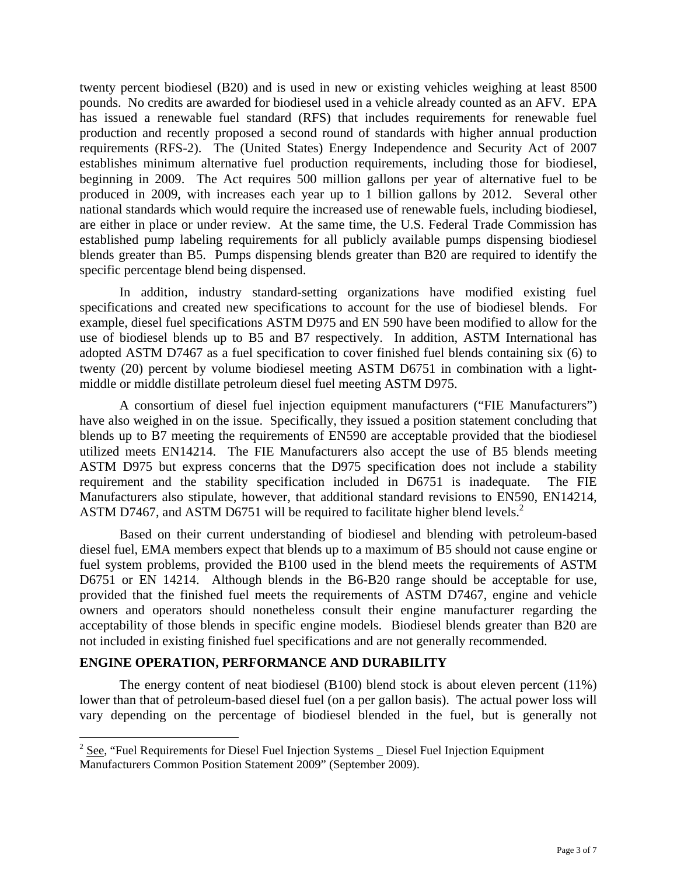twenty percent biodiesel (B20) and is used in new or existing vehicles weighing at least 8500 pounds. No credits are awarded for biodiesel used in a vehicle already counted as an AFV. EPA has issued a renewable fuel standard (RFS) that includes requirements for renewable fuel production and recently proposed a second round of standards with higher annual production requirements (RFS-2). The (United States) Energy Independence and Security Act of 2007 establishes minimum alternative fuel production requirements, including those for biodiesel, beginning in 2009. The Act requires 500 million gallons per year of alternative fuel to be produced in 2009, with increases each year up to 1 billion gallons by 2012. Several other national standards which would require the increased use of renewable fuels, including biodiesel, are either in place or under review. At the same time, the U.S. Federal Trade Commission has established pump labeling requirements for all publicly available pumps dispensing biodiesel blends greater than B5. Pumps dispensing blends greater than B20 are required to identify the specific percentage blend being dispensed.

In addition, industry standard-setting organizations have modified existing fuel specifications and created new specifications to account for the use of biodiesel blends. For example, diesel fuel specifications ASTM D975 and EN 590 have been modified to allow for the use of biodiesel blends up to B5 and B7 respectively. In addition, ASTM International has adopted ASTM D7467 as a fuel specification to cover finished fuel blends containing six (6) to twenty (20) percent by volume biodiesel meeting ASTM D6751 in combination with a lightmiddle or middle distillate petroleum diesel fuel meeting ASTM D975.

A consortium of diesel fuel injection equipment manufacturers ("FIE Manufacturers") have also weighed in on the issue. Specifically, they issued a position statement concluding that blends up to B7 meeting the requirements of EN590 are acceptable provided that the biodiesel utilized meets EN14214. The FIE Manufacturers also accept the use of B5 blends meeting ASTM D975 but express concerns that the D975 specification does not include a stability requirement and the stability specification included in D6751 is inadequate. The FIE Manufacturers also stipulate, however, that additional standard revisions to EN590, EN14214, ASTM D7467, and ASTM D6751 will be required to facilitate higher blend levels.<sup>2</sup>

Based on their current understanding of biodiesel and blending with petroleum-based diesel fuel, EMA members expect that blends up to a maximum of B5 should not cause engine or fuel system problems, provided the B100 used in the blend meets the requirements of ASTM D6751 or EN 14214. Although blends in the B6-B20 range should be acceptable for use, provided that the finished fuel meets the requirements of ASTM D7467, engine and vehicle owners and operators should nonetheless consult their engine manufacturer regarding the acceptability of those blends in specific engine models. Biodiesel blends greater than B20 are not included in existing finished fuel specifications and are not generally recommended.

## **ENGINE OPERATION, PERFORMANCE AND DURABILITY**

 $\overline{a}$ 

The energy content of neat biodiesel (B100) blend stock is about eleven percent (11%) lower than that of petroleum-based diesel fuel (on a per gallon basis). The actual power loss will vary depending on the percentage of biodiesel blended in the fuel, but is generally not

 $2$  See, "Fuel Requirements for Diesel Fuel Injection Systems  $\Box$  Diesel Fuel Injection Equipment Manufacturers Common Position Statement 2009" (September 2009).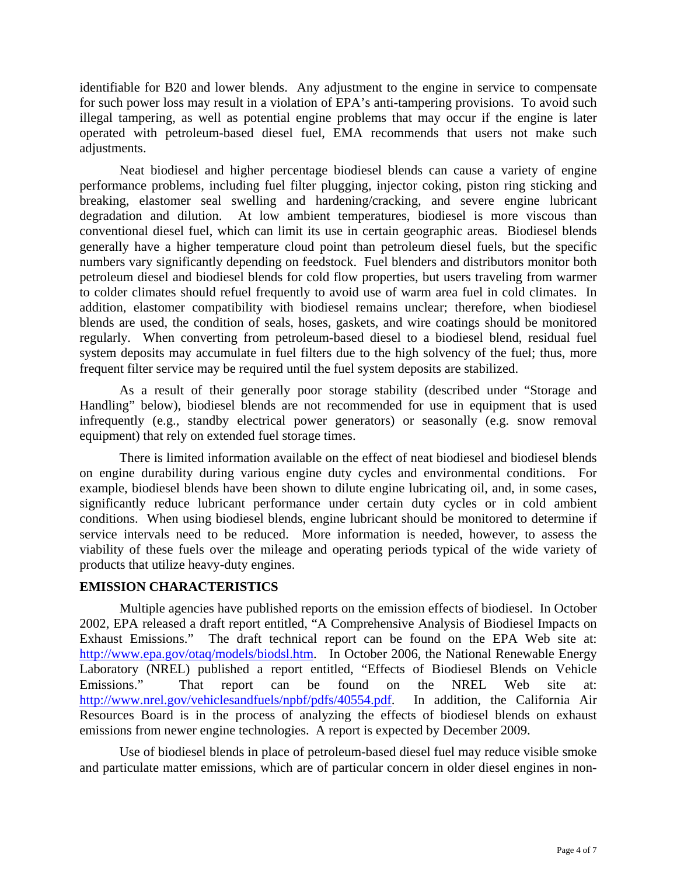identifiable for B20 and lower blends. Any adjustment to the engine in service to compensate for such power loss may result in a violation of EPA's anti-tampering provisions. To avoid such illegal tampering, as well as potential engine problems that may occur if the engine is later operated with petroleum-based diesel fuel, EMA recommends that users not make such adjustments.

Neat biodiesel and higher percentage biodiesel blends can cause a variety of engine performance problems, including fuel filter plugging, injector coking, piston ring sticking and breaking, elastomer seal swelling and hardening/cracking, and severe engine lubricant degradation and dilution. At low ambient temperatures, biodiesel is more viscous than conventional diesel fuel, which can limit its use in certain geographic areas. Biodiesel blends generally have a higher temperature cloud point than petroleum diesel fuels, but the specific numbers vary significantly depending on feedstock. Fuel blenders and distributors monitor both petroleum diesel and biodiesel blends for cold flow properties, but users traveling from warmer to colder climates should refuel frequently to avoid use of warm area fuel in cold climates. In addition, elastomer compatibility with biodiesel remains unclear; therefore, when biodiesel blends are used, the condition of seals, hoses, gaskets, and wire coatings should be monitored regularly. When converting from petroleum-based diesel to a biodiesel blend, residual fuel system deposits may accumulate in fuel filters due to the high solvency of the fuel; thus, more frequent filter service may be required until the fuel system deposits are stabilized.

As a result of their generally poor storage stability (described under "Storage and Handling" below), biodiesel blends are not recommended for use in equipment that is used infrequently (e.g., standby electrical power generators) or seasonally (e.g. snow removal equipment) that rely on extended fuel storage times.

There is limited information available on the effect of neat biodiesel and biodiesel blends on engine durability during various engine duty cycles and environmental conditions. For example, biodiesel blends have been shown to dilute engine lubricating oil, and, in some cases, significantly reduce lubricant performance under certain duty cycles or in cold ambient conditions. When using biodiesel blends, engine lubricant should be monitored to determine if service intervals need to be reduced. More information is needed, however, to assess the viability of these fuels over the mileage and operating periods typical of the wide variety of products that utilize heavy-duty engines.

## **EMISSION CHARACTERISTICS**

Multiple agencies have published reports on the emission effects of biodiesel. In October 2002, EPA released a draft report entitled, "A Comprehensive Analysis of Biodiesel Impacts on Exhaust Emissions." The draft technical report can be found on the EPA Web site at: http://www.epa.gov/otaq/models/biodsl.htm. In October 2006, the National Renewable Energy Laboratory (NREL) published a report entitled, "Effects of Biodiesel Blends on Vehicle Emissions." That report can be found on the NREL Web site at: http://www.nrel.gov/vehiclesandfuels/npbf/pdfs/40554.pdf. In addition, the California Air Resources Board is in the process of analyzing the effects of biodiesel blends on exhaust emissions from newer engine technologies. A report is expected by December 2009.

Use of biodiesel blends in place of petroleum-based diesel fuel may reduce visible smoke and particulate matter emissions, which are of particular concern in older diesel engines in non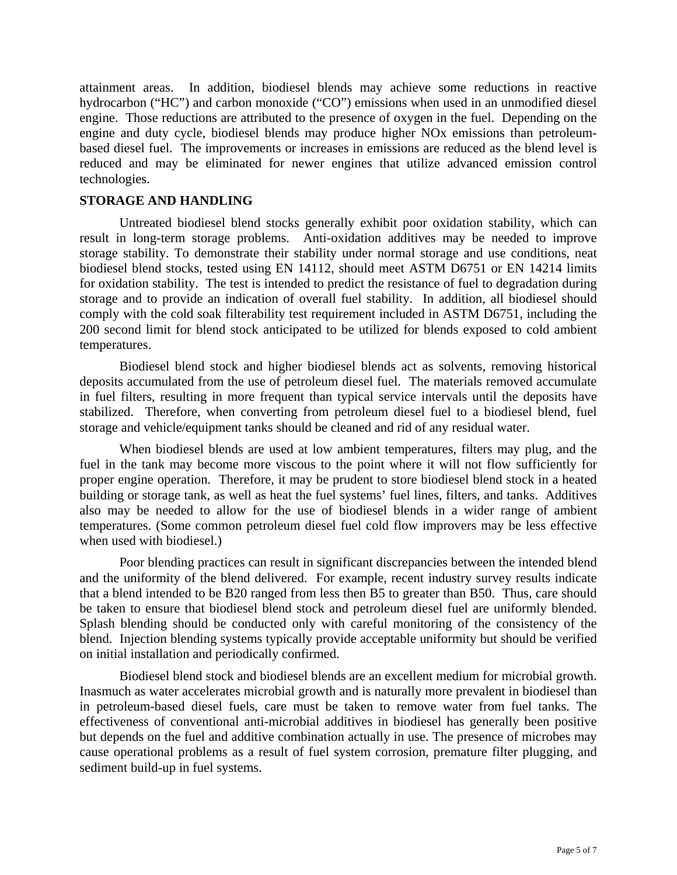attainment areas. In addition, biodiesel blends may achieve some reductions in reactive hydrocarbon ("HC") and carbon monoxide ("CO") emissions when used in an unmodified diesel engine. Those reductions are attributed to the presence of oxygen in the fuel. Depending on the engine and duty cycle, biodiesel blends may produce higher NOx emissions than petroleumbased diesel fuel. The improvements or increases in emissions are reduced as the blend level is reduced and may be eliminated for newer engines that utilize advanced emission control technologies.

#### **STORAGE AND HANDLING**

Untreated biodiesel blend stocks generally exhibit poor oxidation stability, which can result in long-term storage problems. Anti-oxidation additives may be needed to improve storage stability. To demonstrate their stability under normal storage and use conditions, neat biodiesel blend stocks, tested using EN 14112, should meet ASTM D6751 or EN 14214 limits for oxidation stability. The test is intended to predict the resistance of fuel to degradation during storage and to provide an indication of overall fuel stability. In addition, all biodiesel should comply with the cold soak filterability test requirement included in ASTM D6751, including the 200 second limit for blend stock anticipated to be utilized for blends exposed to cold ambient temperatures.

Biodiesel blend stock and higher biodiesel blends act as solvents, removing historical deposits accumulated from the use of petroleum diesel fuel. The materials removed accumulate in fuel filters, resulting in more frequent than typical service intervals until the deposits have stabilized. Therefore, when converting from petroleum diesel fuel to a biodiesel blend, fuel storage and vehicle/equipment tanks should be cleaned and rid of any residual water.

When biodiesel blends are used at low ambient temperatures, filters may plug, and the fuel in the tank may become more viscous to the point where it will not flow sufficiently for proper engine operation. Therefore, it may be prudent to store biodiesel blend stock in a heated building or storage tank, as well as heat the fuel systems' fuel lines, filters, and tanks. Additives also may be needed to allow for the use of biodiesel blends in a wider range of ambient temperatures. (Some common petroleum diesel fuel cold flow improvers may be less effective when used with biodiesel.)

Poor blending practices can result in significant discrepancies between the intended blend and the uniformity of the blend delivered. For example, recent industry survey results indicate that a blend intended to be B20 ranged from less then B5 to greater than B50. Thus, care should be taken to ensure that biodiesel blend stock and petroleum diesel fuel are uniformly blended. Splash blending should be conducted only with careful monitoring of the consistency of the blend. Injection blending systems typically provide acceptable uniformity but should be verified on initial installation and periodically confirmed.

Biodiesel blend stock and biodiesel blends are an excellent medium for microbial growth. Inasmuch as water accelerates microbial growth and is naturally more prevalent in biodiesel than in petroleum-based diesel fuels, care must be taken to remove water from fuel tanks. The effectiveness of conventional anti-microbial additives in biodiesel has generally been positive but depends on the fuel and additive combination actually in use. The presence of microbes may cause operational problems as a result of fuel system corrosion, premature filter plugging, and sediment build-up in fuel systems.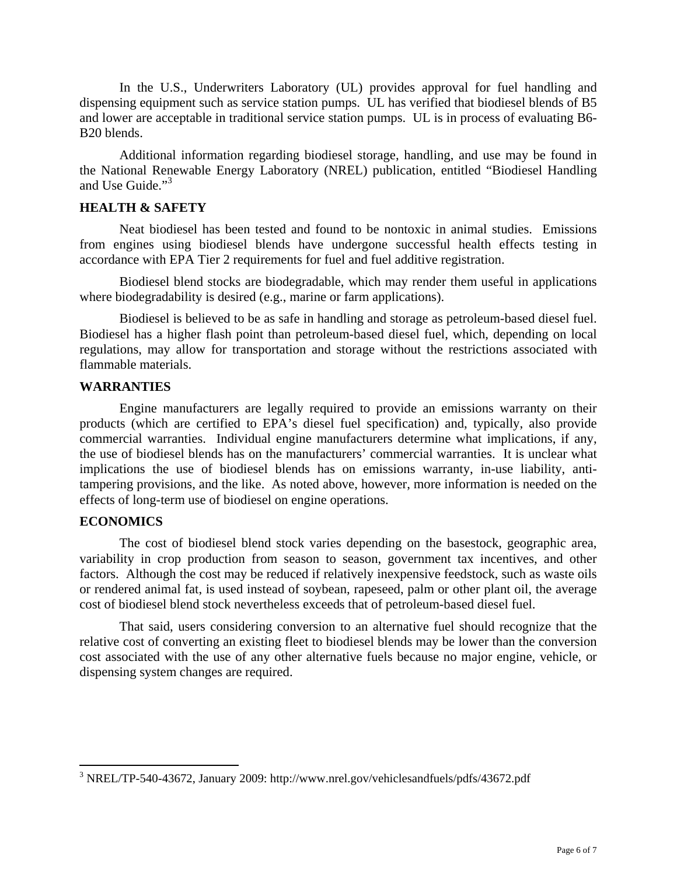In the U.S., Underwriters Laboratory (UL) provides approval for fuel handling and dispensing equipment such as service station pumps. UL has verified that biodiesel blends of B5 and lower are acceptable in traditional service station pumps. UL is in process of evaluating B6- B20 blends.

Additional information regarding biodiesel storage, handling, and use may be found in the National Renewable Energy Laboratory (NREL) publication, entitled "Biodiesel Handling and Use Guide."<sup>3</sup>

#### **HEALTH & SAFETY**

Neat biodiesel has been tested and found to be nontoxic in animal studies. Emissions from engines using biodiesel blends have undergone successful health effects testing in accordance with EPA Tier 2 requirements for fuel and fuel additive registration.

Biodiesel blend stocks are biodegradable, which may render them useful in applications where biodegradability is desired (e.g., marine or farm applications).

Biodiesel is believed to be as safe in handling and storage as petroleum-based diesel fuel. Biodiesel has a higher flash point than petroleum-based diesel fuel, which, depending on local regulations, may allow for transportation and storage without the restrictions associated with flammable materials.

#### **WARRANTIES**

Engine manufacturers are legally required to provide an emissions warranty on their products (which are certified to EPA's diesel fuel specification) and, typically, also provide commercial warranties. Individual engine manufacturers determine what implications, if any, the use of biodiesel blends has on the manufacturers' commercial warranties. It is unclear what implications the use of biodiesel blends has on emissions warranty, in-use liability, antitampering provisions, and the like. As noted above, however, more information is needed on the effects of long-term use of biodiesel on engine operations.

## **ECONOMICS**

 $\overline{a}$ 

The cost of biodiesel blend stock varies depending on the basestock, geographic area, variability in crop production from season to season, government tax incentives, and other factors. Although the cost may be reduced if relatively inexpensive feedstock, such as waste oils or rendered animal fat, is used instead of soybean, rapeseed, palm or other plant oil, the average cost of biodiesel blend stock nevertheless exceeds that of petroleum-based diesel fuel.

That said, users considering conversion to an alternative fuel should recognize that the relative cost of converting an existing fleet to biodiesel blends may be lower than the conversion cost associated with the use of any other alternative fuels because no major engine, vehicle, or dispensing system changes are required.

<sup>&</sup>lt;sup>3</sup> NREL/TP-540-43672, January 2009: http://www.nrel.gov/vehiclesandfuels/pdfs/43672.pdf